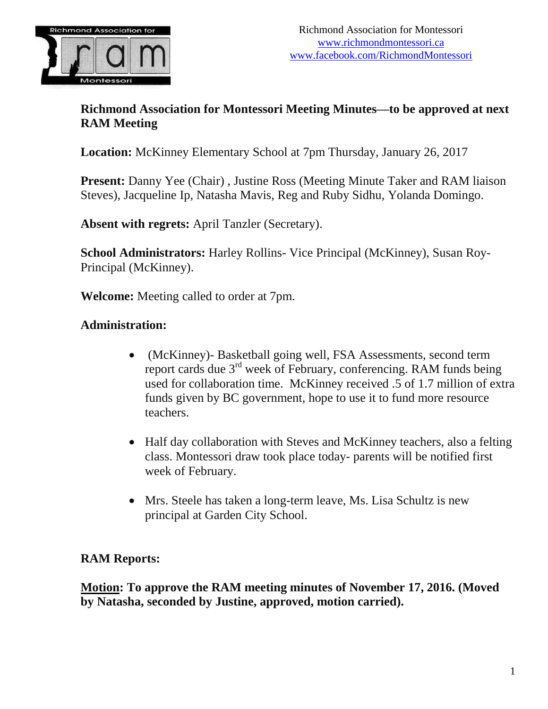

## **Richmond Association for Montessori Meeting Minutes—to be approved at next RAM Meeting**

**Location:** McKinney Elementary School at 7pm Thursday, January 26, 2017

**Present:** Danny Yee (Chair) , Justine Ross (Meeting Minute Taker and RAM liaison Steves), Jacqueline Ip, Natasha Mavis, Reg and Ruby Sidhu, Yolanda Domingo.

**Absent with regrets:** April Tanzler (Secretary).

**School Administrators:** Harley Rollins- Vice Principal (McKinney), Susan Roy-Principal (McKinney).

**Welcome:** Meeting called to order at 7pm.

## **Administration:**

- (McKinney)- Basketball going well, FSA Assessments, second term report cards due 3<sup>rd</sup> week of February, conferencing. RAM funds being used for collaboration time. McKinney received .5 of 1.7 million of extra funds given by BC government, hope to use it to fund more resource teachers.
- Half day collaboration with Steves and McKinney teachers, also a felting class. Montessori draw took place today- parents will be notified first week of February.
- Mrs. Steele has taken a long-term leave, Ms. Lisa Schultz is new principal at Garden City School.

## **RAM Reports:**

**Motion: To approve the RAM meeting minutes of November 17, 2016. (Moved by Natasha, seconded by Justine, approved, motion carried).**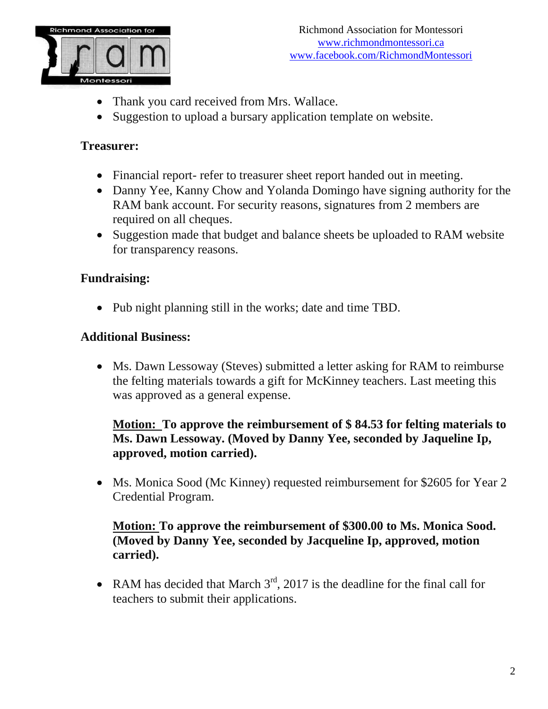

- Thank you card received from Mrs. Wallace.
- Suggestion to upload a bursary application template on website.

## **Treasurer:**

- Financial report- refer to treasurer sheet report handed out in meeting.
- Danny Yee, Kanny Chow and Yolanda Domingo have signing authority for the RAM bank account. For security reasons, signatures from 2 members are required on all cheques.
- Suggestion made that budget and balance sheets be uploaded to RAM website for transparency reasons.

# **Fundraising:**

• Pub night planning still in the works; date and time TBD.

## **Additional Business:**

• Ms. Dawn Lessoway (Steves) submitted a letter asking for RAM to reimburse the felting materials towards a gift for McKinney teachers. Last meeting this was approved as a general expense.

## **Motion: To approve the reimbursement of \$ 84.53 for felting materials to Ms. Dawn Lessoway. (Moved by Danny Yee, seconded by Jaqueline Ip, approved, motion carried).**

• Ms. Monica Sood (Mc Kinney) requested reimbursement for \$2605 for Year 2 Credential Program.

## **Motion: To approve the reimbursement of \$300.00 to Ms. Monica Sood. (Moved by Danny Yee, seconded by Jacqueline Ip, approved, motion carried).**

• RAM has decided that March  $3<sup>rd</sup>$ , 2017 is the deadline for the final call for teachers to submit their applications.